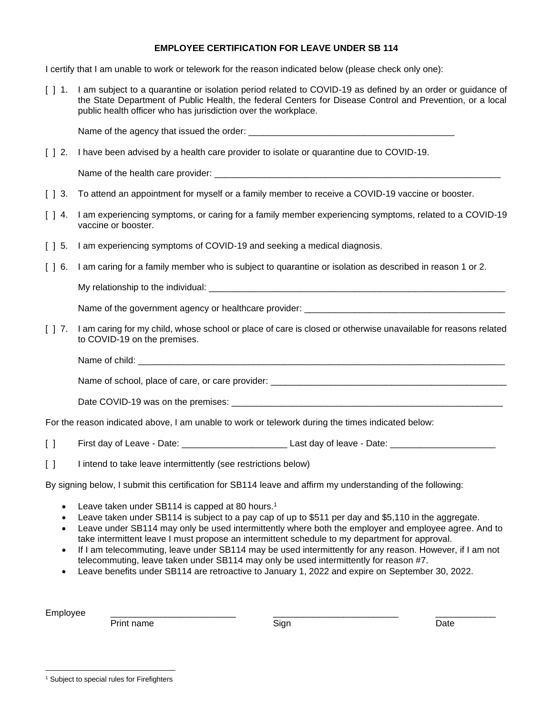## **EMPLOYEE CERTIFICATION FOR LEAVE UNDER SB 114**

I certify that I am unable to work or telework for the reason indicated below (please check only one):

[ ] 1. I am subject to a quarantine or isolation period related to COVID-19 as defined by an order or guidance of the State Department of Public Health, the federal Centers for Disease Control and Prevention, or a local public health officer who has jurisdiction over the workplace.

Name of the agency that issued the order:

[  $\mid$  2. I have been advised by a health care provider to isolate or quarantine due to COVID-19.

Name of the health care provider:

- [  $\vert$  3. To attend an appointment for myself or a family member to receive a COVID-19 vaccine or booster.
- [ ] 4. I am experiencing symptoms, or caring for a family member experiencing symptoms, related to a COVID-19 vaccine or booster.
- [ ] 5. I am experiencing symptoms of COVID-19 and seeking a medical diagnosis.
- [ ] 6. I am caring for a family member who is subject to quarantine or isolation as described in reason 1 or 2.

My relationship to the individual: \_\_\_\_\_\_\_\_\_\_\_\_\_\_\_\_\_\_\_\_\_\_\_\_\_\_\_\_\_\_\_\_\_\_\_\_\_\_\_\_\_\_\_\_\_\_\_\_\_\_\_\_\_\_\_\_\_\_\_

Name of the government agency or healthcare provider: \_\_\_\_\_\_\_\_\_\_\_\_\_\_\_\_\_\_\_\_\_\_\_\_\_\_\_\_\_\_\_\_\_\_\_\_\_\_\_\_

- [ ] 7. I am caring for my child, whose school or place of care is closed or otherwise unavailable for reasons related to COVID-19 on the premises.
	- Name of child:  $\blacksquare$

Name of school, place of care, or care provider: \_\_\_\_\_\_\_\_\_\_\_\_\_\_\_\_\_\_\_\_\_\_\_\_\_\_\_\_\_\_\_\_

Date COVID-19 was on the premises: \_\_\_\_\_\_\_\_\_\_\_\_\_\_\_\_\_\_\_\_\_\_\_\_\_\_\_\_\_\_\_\_\_\_\_\_\_\_\_\_\_\_\_\_\_\_\_\_\_\_\_\_\_\_

For the reason indicated above, I am unable to work or telework during the times indicated below:

- [ ] First day of Leave Date: \_\_\_\_\_\_\_\_\_\_\_\_\_\_\_\_\_\_\_\_\_ Last day of leave Date: \_\_\_\_\_\_\_\_\_\_\_\_\_\_\_\_\_\_\_\_\_
- [ ] I intend to take leave intermittently (see restrictions below)

By signing below, I submit this certification for SB114 leave and affirm my understanding of the following:

- Leave taken under SB114 is capped at 80 hours.<sup>1</sup>
- Leave taken under SB114 is subject to a pay cap of up to \$511 per day and \$5,110 in the aggregate.
- Leave under SB114 may only be used intermittently where both the employer and employee agree. And to take intermittent leave I must propose an intermittent schedule to my department for approval.
- If I am telecommuting, leave under SB114 may be used intermittently for any reason. However, if I am not telecommuting, leave taken under SB114 may only be used intermittently for reason #7.
- Leave benefits under SB114 are retroactive to January 1, 2022 and expire on September 30, 2022.

Employee \_\_\_\_\_\_\_\_\_\_\_\_\_\_\_\_\_\_\_\_\_\_\_\_\_ \_\_\_\_\_\_\_\_\_\_\_\_\_\_\_\_\_\_\_\_\_\_\_\_\_ \_\_\_\_\_\_\_\_\_\_\_\_

Print name **Sign Sign** Date **Date** 

<sup>&</sup>lt;sup>1</sup> Subject to special rules for Firefighters